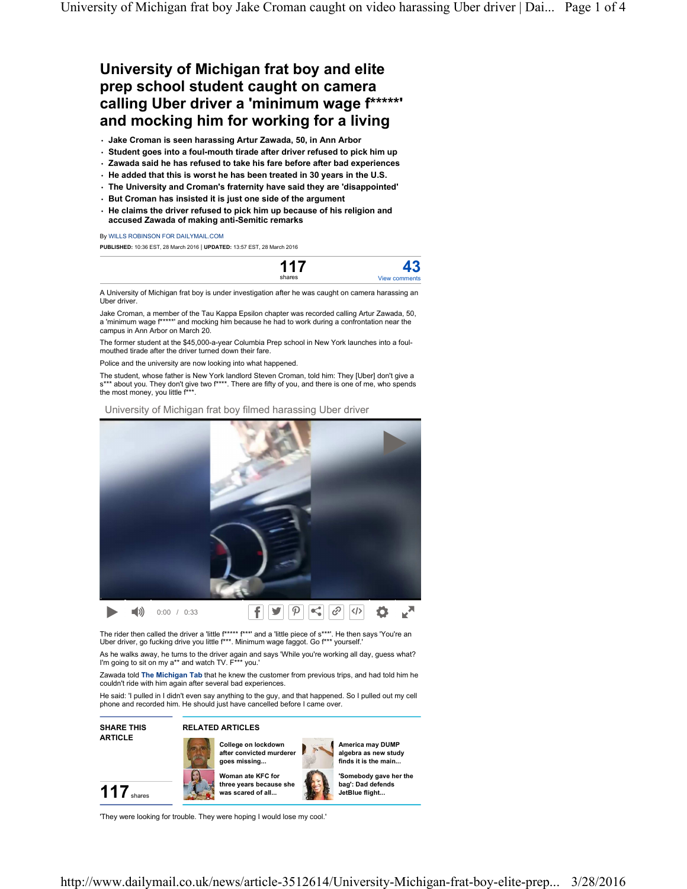## **University of Michigan frat boy and elite prep school student caught on camera calling Uber driver a 'minimum wage f\*\*\*\*\*' and mocking him for working for a living**

• **Jake Croman is seen harassing Artur Zawada, 50, in Ann Arbor** 

- **Student goes into a foul-mouth tirade after driver refused to pick him up**
- **Zawada said he has refused to take his fare before after bad experiences**
- **He added that this is worst he has been treated in 30 years in the U.S.**
- **The University and Croman's fraternity have said they are 'disappointed'**
- **But Croman has insisted it is just one side of the argument**
- **He claims the driver refused to pick him up because of his religion and accused Zawada of making anti-Semitic remarks**

By WILLS ROBINSON FOR DAILYMAIL.COM

**PUBLISHED:** 10:36 EST, 28 March 2016 | **UPDATED:** 13:57 EST, 28 March 2016



A University of Michigan frat boy is under investigation after he was caught on camera harassing an Uber driver.

Jake Croman, a member of the Tau Kappa Epsilon chapter was recorded calling Artur Zawada, 50, a 'minimum wage f\*\*\*\*\*' and mocking him because he had to work during a confrontation near the campus in Ann Arbor on March 20.

The former student at the \$45,000-a-year Columbia Prep school in New York launches into a foulmouthed tirade after the driver turned down their fare.

Police and the university are now looking into what happened.

The student, whose father is New York landlord Steven Croman, told him: They [Uber] don't give a s\*\*\* about you. They don't give two f\*\*\*\*. There are fifty of you, and there is one of me, who spends the most money, you little f\*\*\*.

University of Michigan frat boy filmed harassing Uber driver



The rider then called the driver a 'little f<sup>\*\*\*\*\*</sup> f<sup>\*\*\*</sup> and a 'little piece of s\*\*\*'. He then says 'You're an Uber driver, go fucking drive you little f\*\*\*. Minimum wage faggot. Go f\*\*\* yourself.'

As he walks away, he turns to the driver again and says 'While you're working all day, guess what? I'm going to sit on my a\*\* and watch TV. F\*\*\* you.

Zawada told **The Michigan Tab** that he knew the customer from previous trips, and had told him he couldn't ride with him again after several bad experiences.

He said: 'I pulled in I didn't even say anything to the guy, and that happened. So I pulled out my cell phone and recorded him. He should just have cancelled before I came over.



## **RELATED ARTICLES**





**America may DUMP algebra as new study finds it is the main...**

**'Somebody gave her the bag': Dad defends JetBlue flight...**



'They were looking for trouble. They were hoping I would lose my cool.'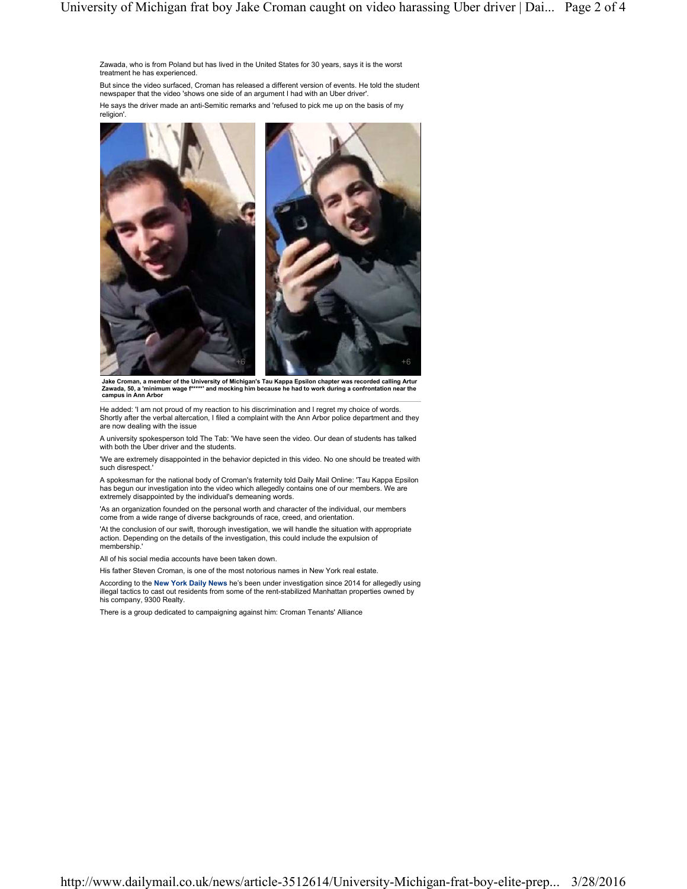Zawada, who is from Poland but has lived in the United States for 30 years, says it is the worst treatment he has experienced.

But since the video surfaced, Croman has released a different version of events. He told the student newspaper that the video 'shows one side of an argument I had with an Uber driver'.

He says the driver made an anti-Semitic remarks and 'refused to pick me up on the basis of my religion'.



Jake Croman, a member of the University of Michigan's Tau Kappa Epsilon chapter was recorded calling Artur<br>Zawada, 50, a 'minimum wage f\*\*\*\*\*' and mocking him because he had to work during a confrontation near the **campus in Ann Arbor**

He added: 'I am not proud of my reaction to his discrimination and I regret my choice of words. Shortly after the verbal altercation, I filed a complaint with the Ann Arbor police department and they are now dealing with the issue

A university spokesperson told The Tab: 'We have seen the video. Our dean of students has talked with both the Uber driver and the students.

'We are extremely disappointed in the behavior depicted in this video. No one should be treated with such disrespect.'

A spokesman for the national body of Croman's fraternity told Daily Mail Online: 'Tau Kappa Epsilon has begun our investigation into the video which allegedly contains one of our members. We are extremely disappointed by the individual's demeaning words.

'As an organization founded on the personal worth and character of the individual, our members come from a wide range of diverse backgrounds of race, creed, and orientation.

'At the conclusion of our swift, thorough investigation, we will handle the situation with appropriate action. Depending on the details of the investigation, this could include the expulsion of membership.'

All of his social media accounts have been taken down.

His father Steven Croman, is one of the most notorious names in New York real estate.

According to the **New York Daily News** he's been under investigation since 2014 for allegedly using illegal tactics to cast out residents from some of the rent-stabilized Manhattan properties owned by his company, 9300 Realty.

There is a group dedicated to campaigning against him: Croman Tenants' Alliance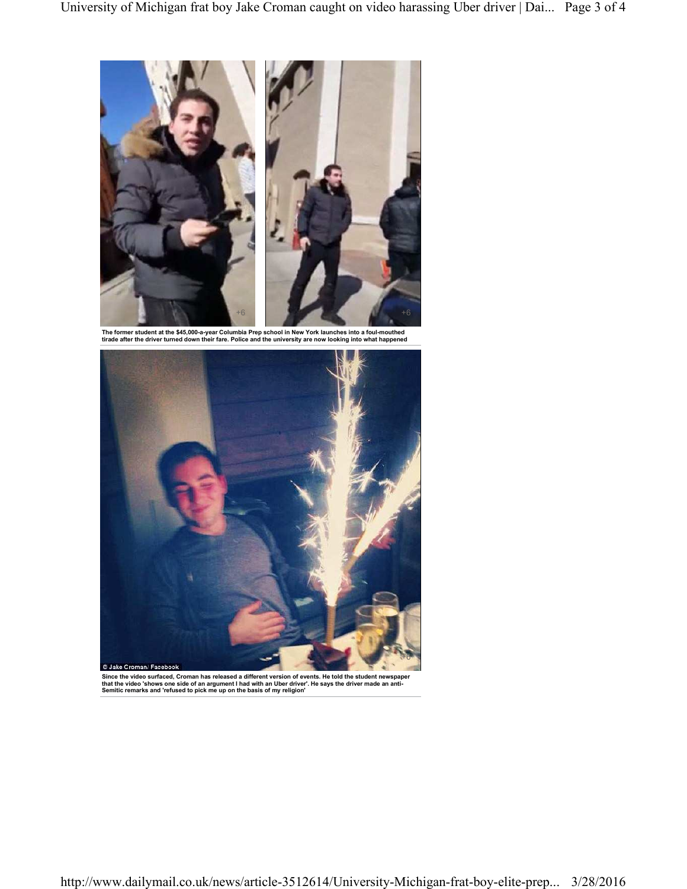

The former student at the \$45,000-a-year Columbia Prep school in New York launches into a foul-mouthed<br>tirade after the driver turned down their fare. Police and the university are now looking into what happened



**Since the video surfaced, Croman has released a different version of events. He told the student newspaper that the video 'shows one side of an argument I had with an Uber driver'. He says the driver made an anti-Semitic remarks and 'refused to pick me up on the basis of my religion'**